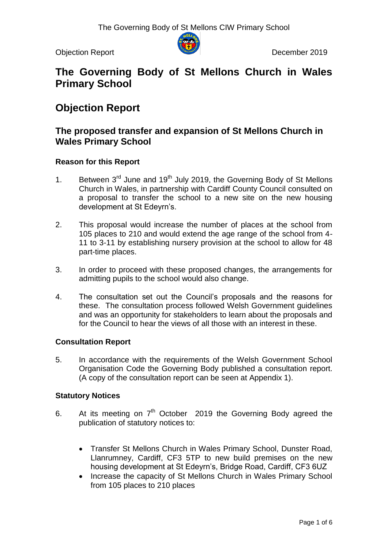Objection Report December 2019



# **The Governing Body of St Mellons Church in Wales Primary School**

# **Objection Report**

### **The proposed transfer and expansion of St Mellons Church in Wales Primary School**

### **Reason for this Report**

- 1. Between  $3<sup>rd</sup>$  June and 19<sup>th</sup> July 2019, the Governing Body of St Mellons Church in Wales, in partnership with Cardiff County Council consulted on a proposal to transfer the school to a new site on the new housing development at St Edeyrn's.
- 2. This proposal would increase the number of places at the school from 105 places to 210 and would extend the age range of the school from 4- 11 to 3-11 by establishing nursery provision at the school to allow for 48 part-time places.
- 3. In order to proceed with these proposed changes, the arrangements for admitting pupils to the school would also change.
- 4. The consultation set out the Council"s proposals and the reasons for these. The consultation process followed Welsh Government guidelines and was an opportunity for stakeholders to learn about the proposals and for the Council to hear the views of all those with an interest in these.

### **Consultation Report**

5. In accordance with the requirements of the Welsh Government School Organisation Code the Governing Body published a consultation report. (A copy of the consultation report can be seen at Appendix 1).

#### **Statutory Notices**

- 6. At its meeting on  $7<sup>th</sup>$  October 2019 the Governing Body agreed the publication of statutory notices to:
	- Transfer St Mellons Church in Wales Primary School, Dunster Road, Llanrumney, Cardiff, CF3 5TP to new build premises on the new housing development at St Edeyrn's, Bridge Road, Cardiff, CF3 6UZ
	- Increase the capacity of St Mellons Church in Wales Primary School from 105 places to 210 places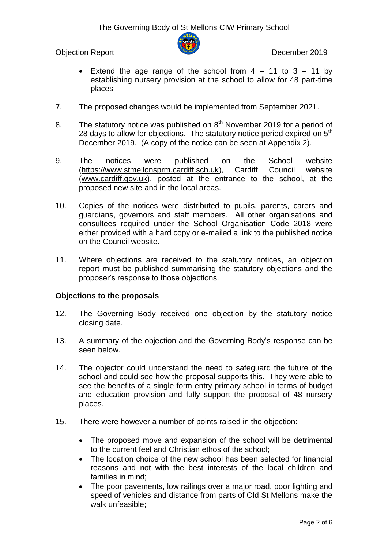Objection Report December 2019



- Extend the age range of the school from  $4 11$  to  $3 11$  by establishing nursery provision at the school to allow for 48 part-time places
- 7. The proposed changes would be implemented from September 2021.
- 8. The statutory notice was published on  $8<sup>th</sup>$  November 2019 for a period of 28 days to allow for objections. The statutory notice period expired on  $5<sup>th</sup>$ December 2019. (A copy of the notice can be seen at Appendix 2).
- 9. The notices were published on the School website [\(https://www.stmellonsprm.cardiff.sch.uk\)](https://www.stmellonsprm.cardiff.sch.uk/), Cardiff Council website [\(www.cardiff.gov.uk\)](http://www.cardiff.gov.uk/), posted at the entrance to the school, at the proposed new site and in the local areas.
- 10. Copies of the notices were distributed to pupils, parents, carers and guardians, governors and staff members. All other organisations and consultees required under the School Organisation Code 2018 were either provided with a hard copy or e-mailed a link to the published notice on the Council website.
- 11. Where objections are received to the statutory notices, an objection report must be published summarising the statutory objections and the proposer"s response to those objections.

### **Objections to the proposals**

- 12. The Governing Body received one objection by the statutory notice closing date.
- 13. A summary of the objection and the Governing Body"s response can be seen below.
- 14. The objector could understand the need to safeguard the future of the school and could see how the proposal supports this. They were able to see the benefits of a single form entry primary school in terms of budget and education provision and fully support the proposal of 48 nursery places.
- 15. There were however a number of points raised in the objection:
	- The proposed move and expansion of the school will be detrimental to the current feel and Christian ethos of the school;
	- The location choice of the new school has been selected for financial reasons and not with the best interests of the local children and families in mind;
	- The poor pavements, low railings over a major road, poor lighting and speed of vehicles and distance from parts of Old St Mellons make the walk unfeasible;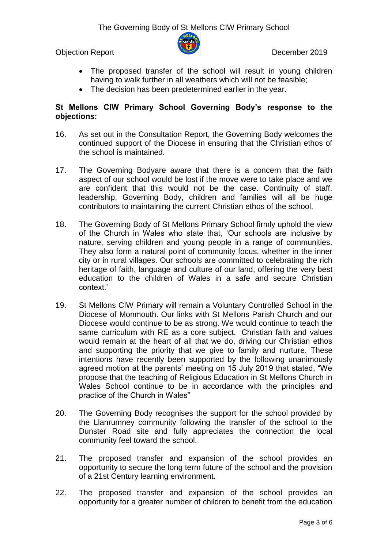Objection Report December 2019



- The proposed transfer of the school will result in young children having to walk further in all weathers which will not be feasible;
- The decision has been predetermined earlier in the year.

### **St Mellons CIW Primary School Governing Body's response to the objections:**

- 16. As set out in the Consultation Report, the Governing Body welcomes the continued support of the Diocese in ensuring that the Christian ethos of the school is maintained.
- 17. The Governing Bodyare aware that there is a concern that the faith aspect of our school would be lost if the move were to take place and we are confident that this would not be the case. Continuity of staff, leadership, Governing Body, children and families will all be huge contributors to maintaining the current Christian ethos of the school.
- 18. The Governing Body of St Mellons Primary School firmly uphold the view of the Church in Wales who state that, "Our schools are inclusive by nature, serving children and young people in a range of communities. They also form a natural point of community focus, whether in the inner city or in rural villages. Our schools are committed to celebrating the rich heritage of faith, language and culture of our land, offering the very best education to the children of Wales in a safe and secure Christian context."
- 19. St Mellons CIW Primary will remain a Voluntary Controlled School in the Diocese of Monmouth. Our links with St Mellons Parish Church and our Diocese would continue to be as strong. We would continue to teach the same curriculum with RE as a core subject. Christian faith and values would remain at the heart of all that we do, driving our Christian ethos and supporting the priority that we give to family and nurture. These intentions have recently been supported by the following unanimously agreed motion at the parents' meeting on 15 July 2019 that stated, "We propose that the teaching of Religious Education in St Mellons Church in Wales School continue to be in accordance with the principles and practice of the Church in Wales"
- 20. The Governing Body recognises the support for the school provided by the Llanrumney community following the transfer of the school to the Dunster Road site and fully appreciates the connection the local community feel toward the school.
- 21. The proposed transfer and expansion of the school provides an opportunity to secure the long term future of the school and the provision of a 21st Century learning environment.
- 22. The proposed transfer and expansion of the school provides an opportunity for a greater number of children to benefit from the education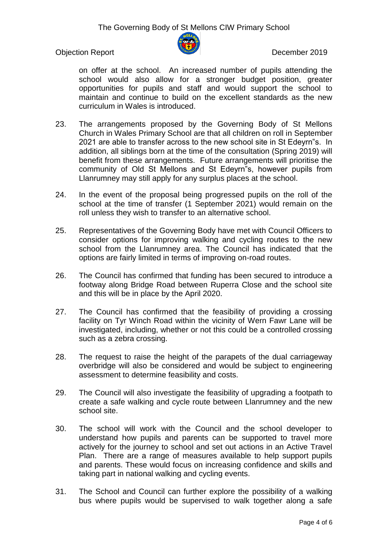

Objection Report December 2019

on offer at the school. An increased number of pupils attending the school would also allow for a stronger budget position, greater opportunities for pupils and staff and would support the school to maintain and continue to build on the excellent standards as the new curriculum in Wales is introduced.

- 23. The arrangements proposed by the Governing Body of St Mellons Church in Wales Primary School are that all children on roll in September 2021 are able to transfer across to the new school site in St Edeyrn"s. In addition, all siblings born at the time of the consultation (Spring 2019) will benefit from these arrangements. Future arrangements will prioritise the community of Old St Mellons and St Edeyrn"s, however pupils from Llanrumney may still apply for any surplus places at the school.
- 24. In the event of the proposal being progressed pupils on the roll of the school at the time of transfer (1 September 2021) would remain on the roll unless they wish to transfer to an alternative school.
- 25. Representatives of the Governing Body have met with Council Officers to consider options for improving walking and cycling routes to the new school from the Llanrumney area. The Council has indicated that the options are fairly limited in terms of improving on-road routes.
- 26. The Council has confirmed that funding has been secured to introduce a footway along Bridge Road between Ruperra Close and the school site and this will be in place by the April 2020.
- 27. The Council has confirmed that the feasibility of providing a crossing facility on Tyr Winch Road within the vicinity of Wern Fawr Lane will be investigated, including, whether or not this could be a controlled crossing such as a zebra crossing.
- 28. The request to raise the height of the parapets of the dual carriageway overbridge will also be considered and would be subject to engineering assessment to determine feasibility and costs.
- 29. The Council will also investigate the feasibility of upgrading a footpath to create a safe walking and cycle route between Llanrumney and the new school site.
- 30. The school will work with the Council and the school developer to understand how pupils and parents can be supported to travel more actively for the journey to school and set out actions in an Active Travel Plan. There are a range of measures available to help support pupils and parents. These would focus on increasing confidence and skills and taking part in national walking and cycling events.
- 31. The School and Council can further explore the possibility of a walking bus where pupils would be supervised to walk together along a safe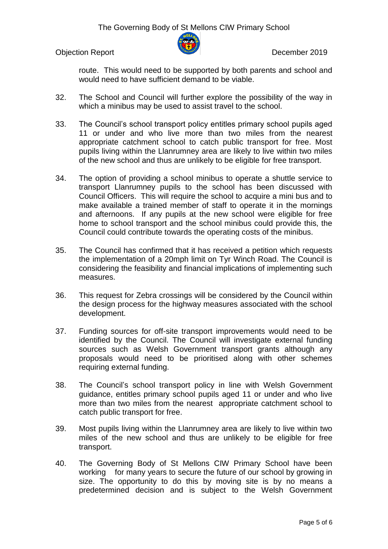Objection Report December 2019



route. This would need to be supported by both parents and school and would need to have sufficient demand to be viable.

- 32. The School and Council will further explore the possibility of the way in which a minibus may be used to assist travel to the school.
- 33. The Council"s school transport policy entitles primary school pupils aged 11 or under and who live more than two miles from the nearest appropriate catchment school to catch public transport for free. Most pupils living within the Llanrumney area are likely to live within two miles of the new school and thus are unlikely to be eligible for free transport.
- 34. The option of providing a school minibus to operate a shuttle service to transport Llanrumney pupils to the school has been discussed with Council Officers. This will require the school to acquire a mini bus and to make available a trained member of staff to operate it in the mornings and afternoons. If any pupils at the new school were eligible for free home to school transport and the school minibus could provide this, the Council could contribute towards the operating costs of the minibus.
- 35. The Council has confirmed that it has received a petition which requests the implementation of a 20mph limit on Tyr Winch Road. The Council is considering the feasibility and financial implications of implementing such measures.
- 36. This request for Zebra crossings will be considered by the Council within the design process for the highway measures associated with the school development.
- 37. Funding sources for off-site transport improvements would need to be identified by the Council. The Council will investigate external funding sources such as Welsh Government transport grants although any proposals would need to be prioritised along with other schemes requiring external funding.
- 38. The Council"s school transport policy in line with Welsh Government guidance, entitles primary school pupils aged 11 or under and who live more than two miles from the nearest appropriate catchment school to catch public transport for free.
- 39. Most pupils living within the Llanrumney area are likely to live within two miles of the new school and thus are unlikely to be eligible for free transport.
- 40. The Governing Body of St Mellons CIW Primary School have been working for many years to secure the future of our school by growing in size. The opportunity to do this by moving site is by no means a predetermined decision and is subject to the Welsh Government